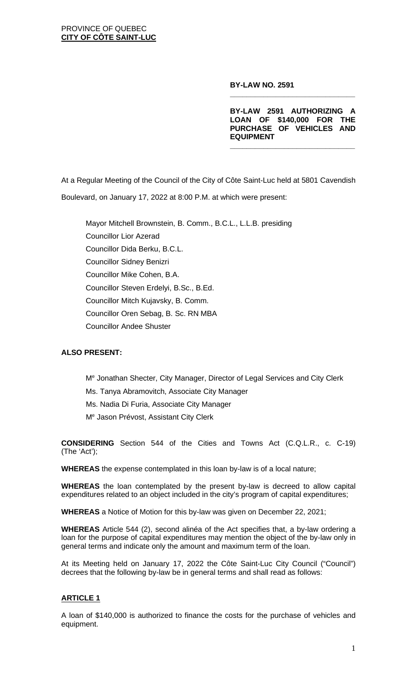#### **BY-LAW NO. 2591**

**BY-LAW 2591 AUTHORIZING A LOAN OF \$140,000 FOR THE PURCHASE OF VEHICLES AND EQUIPMENT**

**\_\_\_\_\_\_\_\_\_\_\_\_\_\_\_\_\_\_\_\_\_\_\_\_\_\_\_\_\_\_**

**\_\_\_\_\_\_\_\_\_\_\_\_\_\_\_\_\_\_\_\_\_\_\_\_\_\_\_\_\_\_**

At a Regular Meeting of the Council of the City of Côte Saint-Luc held at 5801 Cavendish Boulevard, on January 17, 2022 at 8:00 P.M. at which were present:

Mayor Mitchell Brownstein, B. Comm., B.C.L., L.L.B. presiding Councillor Lior Azerad Councillor Dida Berku, B.C.L. Councillor Sidney Benizri Councillor Mike Cohen, B.A. Councillor Steven Erdelyi, B.Sc., B.Ed. Councillor Mitch Kujavsky, B. Comm. Councillor Oren Sebag, B. Sc. RN MBA Councillor Andee Shuster

### **ALSO PRESENT:**

Me Jonathan Shecter, City Manager, Director of Legal Services and City Clerk Ms. Tanya Abramovitch, Associate City Manager Ms. Nadia Di Furia, Associate City Manager Me Jason Prévost, Assistant City Clerk

**CONSIDERING** Section 544 of the Cities and Towns Act (C.Q.L.R., c. C-19) (The 'Act');

**WHEREAS** the expense contemplated in this loan by-law is of a local nature;

**WHEREAS** the loan contemplated by the present by-law is decreed to allow capital expenditures related to an object included in the city's program of capital expenditures;

**WHEREAS** a Notice of Motion for this by-law was given on December 22, 2021;

**WHEREAS** Article 544 (2), second alinéa of the Act specifies that, a by-law ordering a loan for the purpose of capital expenditures may mention the object of the by-law only in general terms and indicate only the amount and maximum term of the loan.

At its Meeting held on January 17, 2022 the Côte Saint-Luc City Council ("Council") decrees that the following by-law be in general terms and shall read as follows:

### **ARTICLE 1**

A loan of \$140,000 is authorized to finance the costs for the purchase of vehicles and equipment.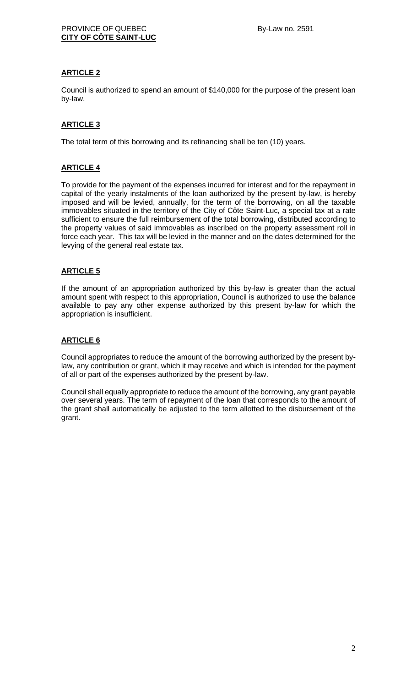# **ARTICLE 2**

Council is authorized to spend an amount of \$140,000 for the purpose of the present loan by-law.

# **ARTICLE 3**

The total term of this borrowing and its refinancing shall be ten (10) years.

# **ARTICLE 4**

To provide for the payment of the expenses incurred for interest and for the repayment in capital of the yearly instalments of the loan authorized by the present by-law, is hereby imposed and will be levied, annually, for the term of the borrowing, on all the taxable immovables situated in the territory of the City of Côte Saint-Luc, a special tax at a rate sufficient to ensure the full reimbursement of the total borrowing, distributed according to the property values of said immovables as inscribed on the property assessment roll in force each year. This tax will be levied in the manner and on the dates determined for the levying of the general real estate tax.

# **ARTICLE 5**

If the amount of an appropriation authorized by this by-law is greater than the actual amount spent with respect to this appropriation, Council is authorized to use the balance available to pay any other expense authorized by this present by-law for which the appropriation is insufficient.

### **ARTICLE 6**

Council appropriates to reduce the amount of the borrowing authorized by the present bylaw, any contribution or grant, which it may receive and which is intended for the payment of all or part of the expenses authorized by the present by-law.

Council shall equally appropriate to reduce the amount of the borrowing, any grant payable over several years. The term of repayment of the loan that corresponds to the amount of the grant shall automatically be adjusted to the term allotted to the disbursement of the grant.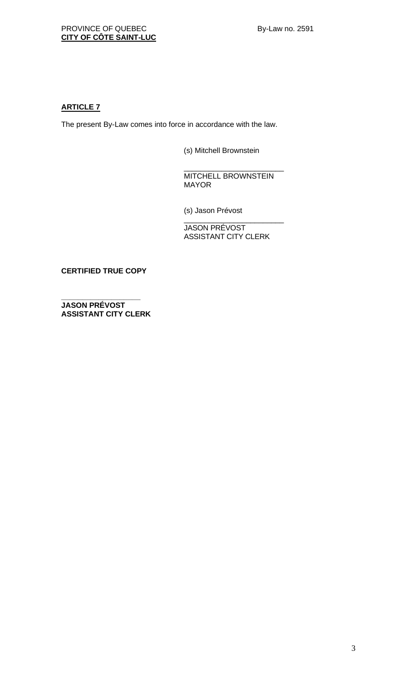# **ARTICLE 7**

The present By-Law comes into force in accordance with the law.

(s) Mitchell Brownstein

\_\_\_\_\_\_\_\_\_\_\_\_\_\_\_\_\_\_\_\_\_\_\_\_ MITCHELL BROWNSTEIN MAYOR

(s) Jason Prévost

\_\_\_\_\_\_\_\_\_\_\_\_\_\_\_\_\_\_\_\_\_\_\_\_ JASON PRÉVOST ASSISTANT CITY CLERK

**CERTIFIED TRUE COPY**

**\_\_\_\_\_\_\_\_\_\_\_\_\_\_\_\_\_\_\_ JASON PRÉVOST ASSISTANT CITY CLERK**